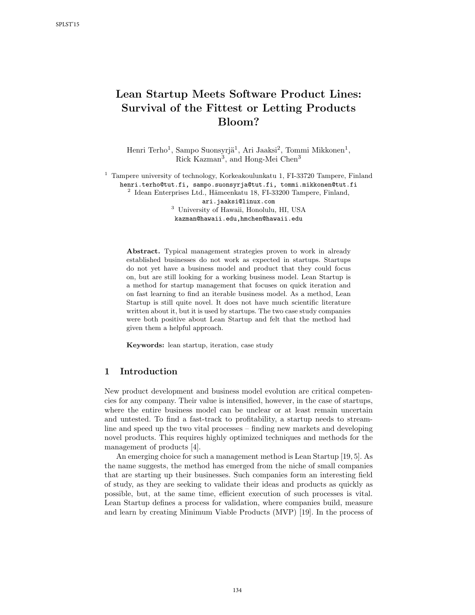# Lean Startup Meets Software Product Lines: Survival of the Fittest or Letting Products Bloom?

Henri Terho<sup>1</sup>, Sampo Suonsyrjä<sup>1</sup>, Ari Jaaksi<sup>2</sup>, Tommi Mikkonen<sup>1</sup>, Rick Kazman<sup>3</sup>, and Hong-Mei Chen<sup>3</sup>

<sup>1</sup> Tampere university of technology, Korkeakoulunkatu 1, FI-33720 Tampere, Finland henri.terho@tut.fi, sampo.suonsyrja@tut.fi, tommi.mikkonen@tut.fi

<sup>2</sup> Idean Enterprises Ltd., Hämeenkatu 18, FI-33200 Tampere, Finland,

ari.jaaksi@linux.com

<sup>3</sup> University of Hawaii, Honolulu, HI, USA

kazman@hawaii.edu,hmchen@hawaii.edu

Abstract. Typical management strategies proven to work in already established businesses do not work as expected in startups. Startups do not yet have a business model and product that they could focus on, but are still looking for a working business model. Lean Startup is a method for startup management that focuses on quick iteration and on fast learning to find an iterable business model. As a method, Lean Startup is still quite novel. It does not have much scientific literature written about it, but it is used by startups. The two case study companies were both positive about Lean Startup and felt that the method had given them a helpful approach.

Keywords: lean startup, iteration, case study

# 1 Introduction

New product development and business model evolution are critical competencies for any company. Their value is intensified, however, in the case of startups, where the entire business model can be unclear or at least remain uncertain and untested. To find a fast-track to profitability, a startup needs to streamline and speed up the two vital processes – finding new markets and developing novel products. This requires highly optimized techniques and methods for the management of products [4].

An emerging choice for such a management method is Lean Startup [19, 5]. As the name suggests, the method has emerged from the niche of small companies that are starting up their businesses. Such companies form an interesting field of study, as they are seeking to validate their ideas and products as quickly as possible, but, at the same time, efficient execution of such processes is vital. Lean Startup defines a process for validation, where companies build, measure and learn by creating Minimum Viable Products (MVP) [19]. In the process of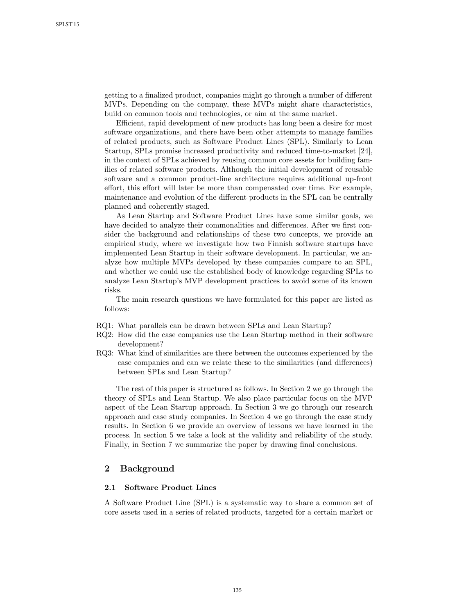getting to a finalized product, companies might go through a number of different MVPs. Depending on the company, these MVPs might share characteristics, build on common tools and technologies, or aim at the same market.

Efficient, rapid development of new products has long been a desire for most software organizations, and there have been other attempts to manage families of related products, such as Software Product Lines (SPL). Similarly to Lean Startup, SPLs promise increased productivity and reduced time-to-market [24], in the context of SPLs achieved by reusing common core assets for building families of related software products. Although the initial development of reusable software and a common product-line architecture requires additional up-front effort, this effort will later be more than compensated over time. For example, maintenance and evolution of the different products in the SPL can be centrally planned and coherently staged.

As Lean Startup and Software Product Lines have some similar goals, we have decided to analyze their commonalities and differences. After we first consider the background and relationships of these two concepts, we provide an empirical study, where we investigate how two Finnish software startups have implemented Lean Startup in their software development. In particular, we analyze how multiple MVPs developed by these companies compare to an SPL, and whether we could use the established body of knowledge regarding SPLs to analyze Lean Startup's MVP development practices to avoid some of its known risks.

The main research questions we have formulated for this paper are listed as follows:

- RQ1: What parallels can be drawn between SPLs and Lean Startup?
- RQ2: How did the case companies use the Lean Startup method in their software development?
- RQ3: What kind of similarities are there between the outcomes experienced by the case companies and can we relate these to the similarities (and differences) between SPLs and Lean Startup?

The rest of this paper is structured as follows. In Section 2 we go through the theory of SPLs and Lean Startup. We also place particular focus on the MVP aspect of the Lean Startup approach. In Section 3 we go through our research approach and case study companies. In Section 4 we go through the case study results. In Section 6 we provide an overview of lessons we have learned in the process. In section 5 we take a look at the validity and reliability of the study. Finally, in Section 7 we summarize the paper by drawing final conclusions.

## 2 Background

#### 2.1 Software Product Lines

A Software Product Line (SPL) is a systematic way to share a common set of core assets used in a series of related products, targeted for a certain market or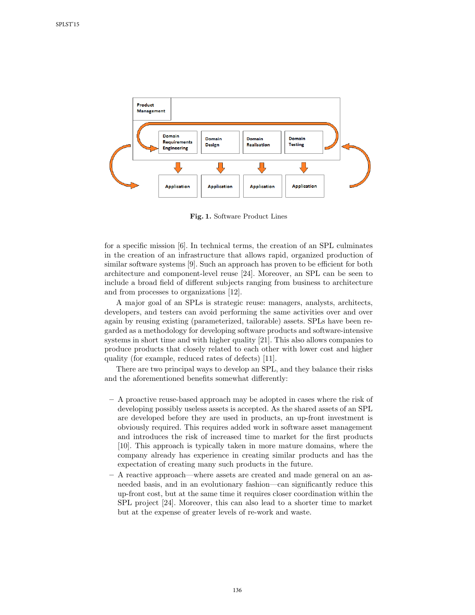

Fig. 1. Software Product Lines

for a specific mission [6]. In technical terms, the creation of an SPL culminates in the creation of an infrastructure that allows rapid, organized production of similar software systems [9]. Such an approach has proven to be efficient for both architecture and component-level reuse [24]. Moreover, an SPL can be seen to include a broad field of different subjects ranging from business to architecture and from processes to organizations [12].

A major goal of an SPLs is strategic reuse: managers, analysts, architects, developers, and testers can avoid performing the same activities over and over again by reusing existing (parameterized, tailorable) assets. SPLs have been regarded as a methodology for developing software products and software-intensive systems in short time and with higher quality [21]. This also allows companies to produce products that closely related to each other with lower cost and higher quality (for example, reduced rates of defects) [11].

There are two principal ways to develop an SPL, and they balance their risks and the aforementioned benefits somewhat differently:

- A proactive reuse-based approach may be adopted in cases where the risk of developing possibly useless assets is accepted. As the shared assets of an SPL are developed before they are used in products, an up-front investment is obviously required. This requires added work in software asset management and introduces the risk of increased time to market for the first products [10]. This approach is typically taken in more mature domains, where the company already has experience in creating similar products and has the expectation of creating many such products in the future.
- A reactive approach—where assets are created and made general on an asneeded basis, and in an evolutionary fashion—can significantly reduce this up-front cost, but at the same time it requires closer coordination within the SPL project [24]. Moreover, this can also lead to a shorter time to market but at the expense of greater levels of re-work and waste.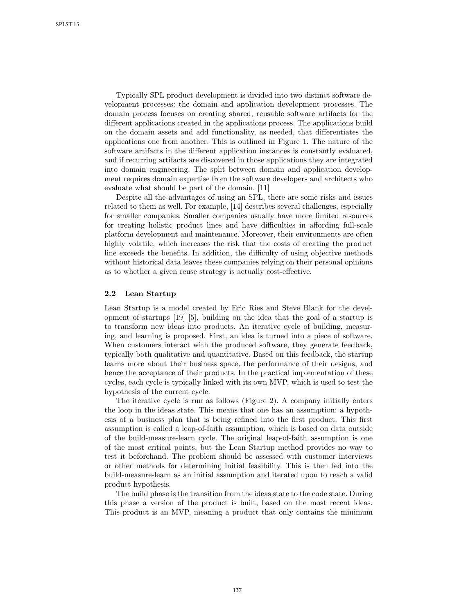Typically SPL product development is divided into two distinct software development processes: the domain and application development processes. The domain process focuses on creating shared, reusable software artifacts for the different applications created in the applications process. The applications build on the domain assets and add functionality, as needed, that differentiates the applications one from another. This is outlined in Figure 1. The nature of the software artifacts in the different application instances is constantly evaluated, and if recurring artifacts are discovered in those applications they are integrated into domain engineering. The split between domain and application development requires domain expertise from the software developers and architects who evaluate what should be part of the domain. [11]

Despite all the advantages of using an SPL, there are some risks and issues related to them as well. For example, [14] describes several challenges, especially for smaller companies. Smaller companies usually have more limited resources for creating holistic product lines and have difficulties in affording full-scale platform development and maintenance. Moreover, their environments are often highly volatile, which increases the risk that the costs of creating the product line exceeds the benefits. In addition, the difficulty of using objective methods without historical data leaves these companies relying on their personal opinions as to whether a given reuse strategy is actually cost-effective.

#### 2.2 Lean Startup

Lean Startup is a model created by Eric Ries and Steve Blank for the development of startups [19] [5], building on the idea that the goal of a startup is to transform new ideas into products. An iterative cycle of building, measuring, and learning is proposed. First, an idea is turned into a piece of software. When customers interact with the produced software, they generate feedback, typically both qualitative and quantitative. Based on this feedback, the startup learns more about their business space, the performance of their designs, and hence the acceptance of their products. In the practical implementation of these cycles, each cycle is typically linked with its own MVP, which is used to test the hypothesis of the current cycle.

The iterative cycle is run as follows (Figure 2). A company initially enters the loop in the ideas state. This means that one has an assumption: a hypothesis of a business plan that is being refined into the first product. This first assumption is called a leap-of-faith assumption, which is based on data outside of the build-measure-learn cycle. The original leap-of-faith assumption is one of the most critical points, but the Lean Startup method provides no way to test it beforehand. The problem should be assessed with customer interviews or other methods for determining initial feasibility. This is then fed into the build-measure-learn as an initial assumption and iterated upon to reach a valid product hypothesis.

The build phase is the transition from the ideas state to the code state. During this phase a version of the product is built, based on the most recent ideas. This product is an MVP, meaning a product that only contains the minimum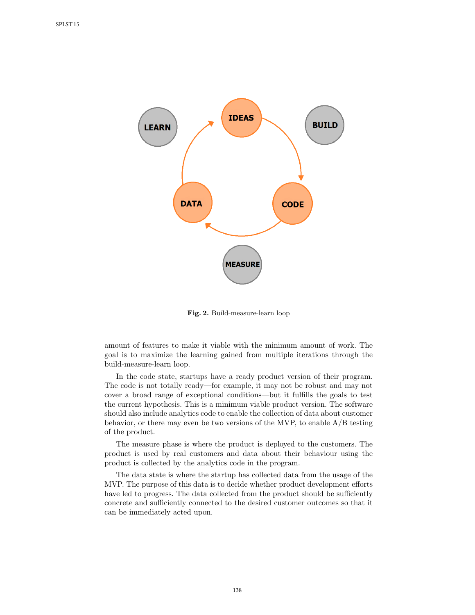

Fig. 2. Build-measure-learn loop

amount of features to make it viable with the minimum amount of work. The goal is to maximize the learning gained from multiple iterations through the build-measure-learn loop.

In the code state, startups have a ready product version of their program. The code is not totally ready—for example, it may not be robust and may not cover a broad range of exceptional conditions—but it fulfills the goals to test the current hypothesis. This is a minimum viable product version. The software should also include analytics code to enable the collection of data about customer behavior, or there may even be two versions of the MVP, to enable A/B testing of the product.

The measure phase is where the product is deployed to the customers. The product is used by real customers and data about their behaviour using the product is collected by the analytics code in the program.

The data state is where the startup has collected data from the usage of the MVP. The purpose of this data is to decide whether product development efforts have led to progress. The data collected from the product should be sufficiently concrete and sufficiently connected to the desired customer outcomes so that it can be immediately acted upon.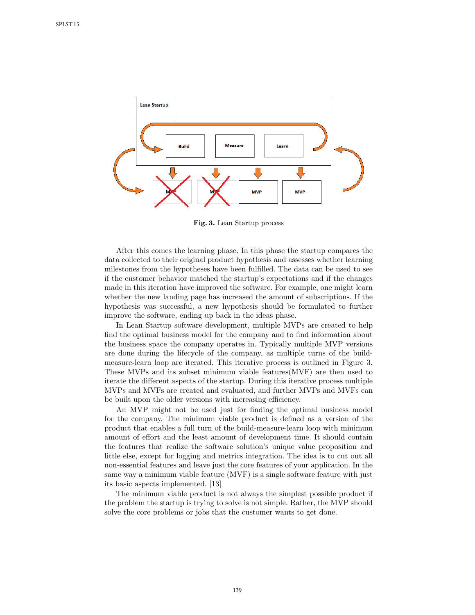

Fig. 3. Lean Startup process

After this comes the learning phase. In this phase the startup compares the data collected to their original product hypothesis and assesses whether learning milestones from the hypotheses have been fulfilled. The data can be used to see if the customer behavior matched the startup's expectations and if the changes made in this iteration have improved the software. For example, one might learn whether the new landing page has increased the amount of subscriptions. If the hypothesis was successful, a new hypothesis should be formulated to further improve the software, ending up back in the ideas phase.

In Lean Startup software development, multiple MVPs are created to help find the optimal business model for the company and to find information about the business space the company operates in. Typically multiple MVP versions are done during the lifecycle of the company, as multiple turns of the buildmeasure-learn loop are iterated. This iterative process is outlined in Figure 3. These MVPs and its subset minimum viable features(MVF) are then used to iterate the different aspects of the startup. During this iterative process multiple MVPs and MVFs are created and evaluated, and further MVPs and MVFs can be built upon the older versions with increasing efficiency.

An MVP might not be used just for finding the optimal business model for the company. The minimum viable product is defined as a version of the product that enables a full turn of the build-measure-learn loop with minimum amount of effort and the least amount of development time. It should contain the features that realize the software solution's unique value proposition and little else, except for logging and metrics integration. The idea is to cut out all non-essential features and leave just the core features of your application. In the same way a minimum viable feature (MVF) is a single software feature with just its basic aspects implemented. [13]

The minimum viable product is not always the simplest possible product if the problem the startup is trying to solve is not simple. Rather, the MVP should solve the core problems or jobs that the customer wants to get done.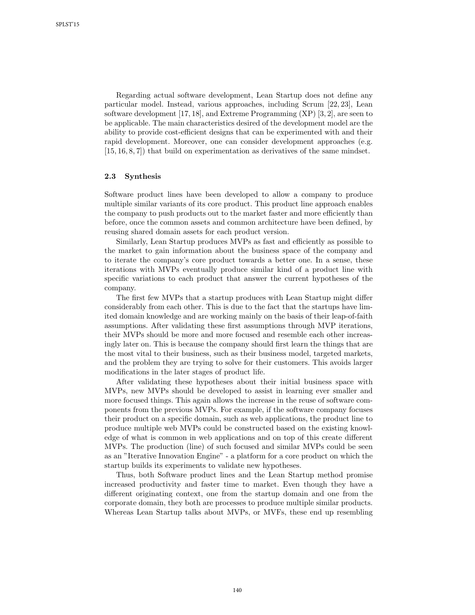Regarding actual software development, Lean Startup does not define any particular model. Instead, various approaches, including Scrum [22, 23], Lean software development [17, 18], and Extreme Programming (XP) [3, 2], are seen to be applicable. The main characteristics desired of the development model are the ability to provide cost-efficient designs that can be experimented with and their rapid development. Moreover, one can consider development approaches (e.g. [15, 16, 8, 7]) that build on experimentation as derivatives of the same mindset.

#### 2.3 Synthesis

Software product lines have been developed to allow a company to produce multiple similar variants of its core product. This product line approach enables the company to push products out to the market faster and more efficiently than before, once the common assets and common architecture have been defined, by reusing shared domain assets for each product version.

Similarly, Lean Startup produces MVPs as fast and efficiently as possible to the market to gain information about the business space of the company and to iterate the company's core product towards a better one. In a sense, these iterations with MVPs eventually produce similar kind of a product line with specific variations to each product that answer the current hypotheses of the company.

The first few MVPs that a startup produces with Lean Startup might differ considerably from each other. This is due to the fact that the startups have limited domain knowledge and are working mainly on the basis of their leap-of-faith assumptions. After validating these first assumptions through MVP iterations, their MVPs should be more and more focused and resemble each other increasingly later on. This is because the company should first learn the things that are the most vital to their business, such as their business model, targeted markets, and the problem they are trying to solve for their customers. This avoids larger modifications in the later stages of product life.

After validating these hypotheses about their initial business space with MVPs, new MVPs should be developed to assist in learning ever smaller and more focused things. This again allows the increase in the reuse of software components from the previous MVPs. For example, if the software company focuses their product on a specific domain, such as web applications, the product line to produce multiple web MVPs could be constructed based on the existing knowledge of what is common in web applications and on top of this create different MVPs. The production (line) of such focused and similar MVPs could be seen as an "Iterative Innovation Engine" - a platform for a core product on which the startup builds its experiments to validate new hypotheses.

Thus, both Software product lines and the Lean Startup method promise increased productivity and faster time to market. Even though they have a different originating context, one from the startup domain and one from the corporate domain, they both are processes to produce multiple similar products. Whereas Lean Startup talks about MVPs, or MVFs, these end up resembling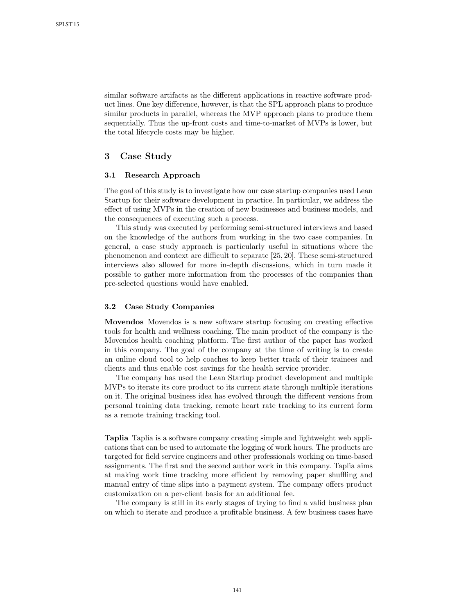similar software artifacts as the different applications in reactive software product lines. One key difference, however, is that the SPL approach plans to produce similar products in parallel, whereas the MVP approach plans to produce them sequentially. Thus the up-front costs and time-to-market of MVPs is lower, but the total lifecycle costs may be higher.

## 3 Case Study

## 3.1 Research Approach

The goal of this study is to investigate how our case startup companies used Lean Startup for their software development in practice. In particular, we address the effect of using MVPs in the creation of new businesses and business models, and the consequences of executing such a process.

This study was executed by performing semi-structured interviews and based on the knowledge of the authors from working in the two case companies. In general, a case study approach is particularly useful in situations where the phenomenon and context are difficult to separate [25, 20]. These semi-structured interviews also allowed for more in-depth discussions, which in turn made it possible to gather more information from the processes of the companies than pre-selected questions would have enabled.

#### 3.2 Case Study Companies

Movendos Movendos is a new software startup focusing on creating effective tools for health and wellness coaching. The main product of the company is the Movendos health coaching platform. The first author of the paper has worked in this company. The goal of the company at the time of writing is to create an online cloud tool to help coaches to keep better track of their trainees and clients and thus enable cost savings for the health service provider.

The company has used the Lean Startup product development and multiple MVPs to iterate its core product to its current state through multiple iterations on it. The original business idea has evolved through the different versions from personal training data tracking, remote heart rate tracking to its current form as a remote training tracking tool.

Taplia Taplia is a software company creating simple and lightweight web applications that can be used to automate the logging of work hours. The products are targeted for field service engineers and other professionals working on time-based assignments. The first and the second author work in this company. Taplia aims at making work time tracking more efficient by removing paper shuffling and manual entry of time slips into a payment system. The company offers product customization on a per-client basis for an additional fee.

The company is still in its early stages of trying to find a valid business plan on which to iterate and produce a profitable business. A few business cases have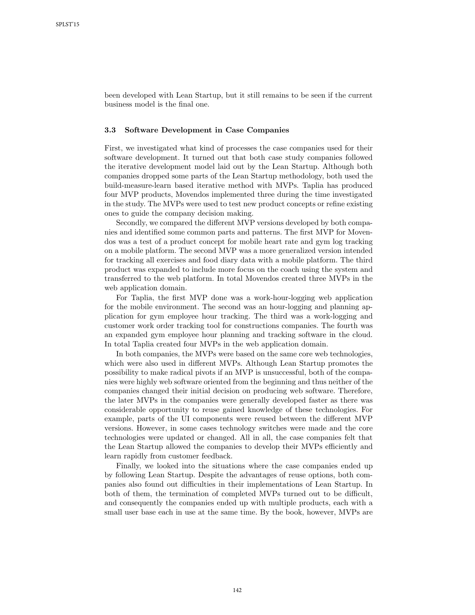been developed with Lean Startup, but it still remains to be seen if the current business model is the final one.

#### 3.3 Software Development in Case Companies

First, we investigated what kind of processes the case companies used for their software development. It turned out that both case study companies followed the iterative development model laid out by the Lean Startup. Although both companies dropped some parts of the Lean Startup methodology, both used the build-measure-learn based iterative method with MVPs. Taplia has produced four MVP products, Movendos implemented three during the time investigated in the study. The MVPs were used to test new product concepts or refine existing ones to guide the company decision making.

Secondly, we compared the different MVP versions developed by both companies and identified some common parts and patterns. The first MVP for Movendos was a test of a product concept for mobile heart rate and gym log tracking on a mobile platform. The second MVP was a more generalized version intended for tracking all exercises and food diary data with a mobile platform. The third product was expanded to include more focus on the coach using the system and transferred to the web platform. In total Movendos created three MVPs in the web application domain.

For Taplia, the first MVP done was a work-hour-logging web application for the mobile environment. The second was an hour-logging and planning application for gym employee hour tracking. The third was a work-logging and customer work order tracking tool for constructions companies. The fourth was an expanded gym employee hour planning and tracking software in the cloud. In total Taplia created four MVPs in the web application domain.

In both companies, the MVPs were based on the same core web technologies, which were also used in different MVPs. Although Lean Startup promotes the possibility to make radical pivots if an MVP is unsuccessful, both of the companies were highly web software oriented from the beginning and thus neither of the companies changed their initial decision on producing web software. Therefore, the later MVPs in the companies were generally developed faster as there was considerable opportunity to reuse gained knowledge of these technologies. For example, parts of the UI components were reused between the different MVP versions. However, in some cases technology switches were made and the core technologies were updated or changed. All in all, the case companies felt that the Lean Startup allowed the companies to develop their MVPs efficiently and learn rapidly from customer feedback.

Finally, we looked into the situations where the case companies ended up by following Lean Startup. Despite the advantages of reuse options, both companies also found out difficulties in their implementations of Lean Startup. In both of them, the termination of completed MVPs turned out to be difficult, and consequently the companies ended up with multiple products, each with a small user base each in use at the same time. By the book, however, MVPs are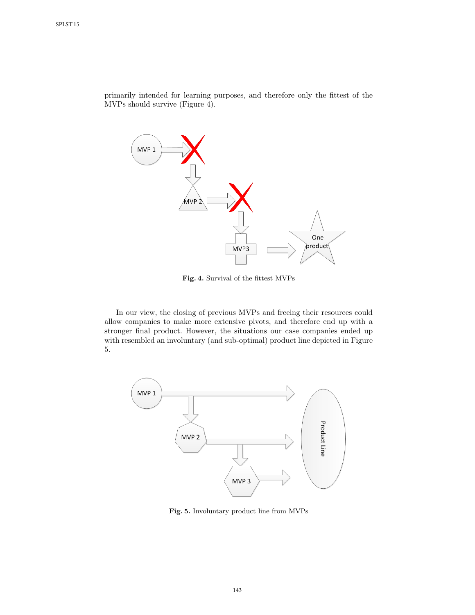primarily intended for learning purposes, and therefore only the fittest of the MVPs should survive (Figure 4).



Fig. 4. Survival of the fittest MVPs

In our view, the closing of previous MVPs and freeing their resources could allow companies to make more extensive pivots, and therefore end up with a stronger final product. However, the situations our case companies ended up with resembled an involuntary (and sub-optimal) product line depicted in Figure 5.



Fig. 5. Involuntary product line from MVPs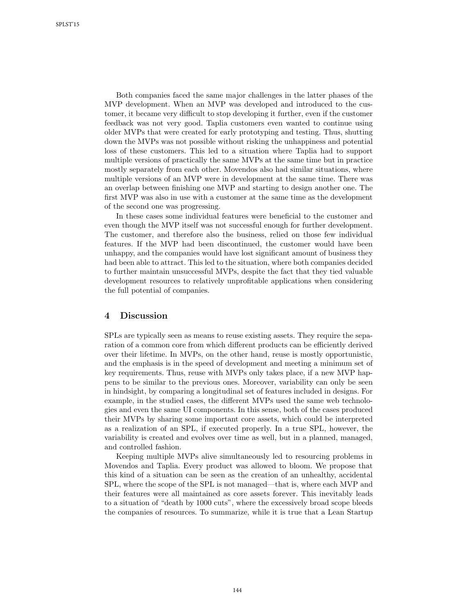Both companies faced the same major challenges in the latter phases of the MVP development. When an MVP was developed and introduced to the customer, it became very difficult to stop developing it further, even if the customer feedback was not very good. Taplia customers even wanted to continue using older MVPs that were created for early prototyping and testing. Thus, shutting down the MVPs was not possible without risking the unhappiness and potential loss of these customers. This led to a situation where Taplia had to support multiple versions of practically the same MVPs at the same time but in practice mostly separately from each other. Movendos also had similar situations, where multiple versions of an MVP were in development at the same time. There was an overlap between finishing one MVP and starting to design another one. The first MVP was also in use with a customer at the same time as the development of the second one was progressing.

In these cases some individual features were beneficial to the customer and even though the MVP itself was not successful enough for further development. The customer, and therefore also the business, relied on those few individual features. If the MVP had been discontinued, the customer would have been unhappy, and the companies would have lost significant amount of business they had been able to attract. This led to the situation, where both companies decided to further maintain unsuccessful MVPs, despite the fact that they tied valuable development resources to relatively unprofitable applications when considering the full potential of companies.

## 4 Discussion

SPLs are typically seen as means to reuse existing assets. They require the separation of a common core from which different products can be efficiently derived over their lifetime. In MVPs, on the other hand, reuse is mostly opportunistic, and the emphasis is in the speed of development and meeting a minimum set of key requirements. Thus, reuse with MVPs only takes place, if a new MVP happens to be similar to the previous ones. Moreover, variability can only be seen in hindsight, by comparing a longitudinal set of features included in designs. For example, in the studied cases, the different MVPs used the same web technologies and even the same UI components. In this sense, both of the cases produced their MVPs by sharing some important core assets, which could be interpreted as a realization of an SPL, if executed properly. In a true SPL, however, the variability is created and evolves over time as well, but in a planned, managed, and controlled fashion.

Keeping multiple MVPs alive simultaneously led to resourcing problems in Movendos and Taplia. Every product was allowed to bloom. We propose that this kind of a situation can be seen as the creation of an unhealthy, accidental SPL, where the scope of the SPL is not managed—that is, where each MVP and their features were all maintained as core assets forever. This inevitably leads to a situation of "death by 1000 cuts", where the excessively broad scope bleeds the companies of resources. To summarize, while it is true that a Lean Startup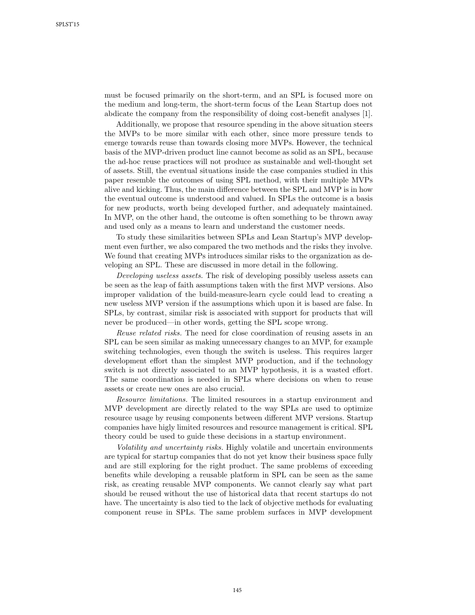must be focused primarily on the short-term, and an SPL is focused more on the medium and long-term, the short-term focus of the Lean Startup does not abdicate the company from the responsibility of doing cost-benefit analyses [1].

Additionally, we propose that resource spending in the above situation steers the MVPs to be more similar with each other, since more pressure tends to emerge towards reuse than towards closing more MVPs. However, the technical basis of the MVP-driven product line cannot become as solid as an SPL, because the ad-hoc reuse practices will not produce as sustainable and well-thought set of assets. Still, the eventual situations inside the case companies studied in this paper resemble the outcomes of using SPL method, with their multiple MVPs alive and kicking. Thus, the main difference between the SPL and MVP is in how the eventual outcome is understood and valued. In SPLs the outcome is a basis for new products, worth being developed further, and adequately maintained. In MVP, on the other hand, the outcome is often something to be thrown away and used only as a means to learn and understand the customer needs.

To study these similarities between SPLs and Lean Startup's MVP development even further, we also compared the two methods and the risks they involve. We found that creating MVPs introduces similar risks to the organization as developing an SPL. These are discussed in more detail in the following.

Developing useless assets. The risk of developing possibly useless assets can be seen as the leap of faith assumptions taken with the first MVP versions. Also improper validation of the build-measure-learn cycle could lead to creating a new useless MVP version if the assumptions which upon it is based are false. In SPLs, by contrast, similar risk is associated with support for products that will never be produced—in other words, getting the SPL scope wrong.

Reuse related risks. The need for close coordination of reusing assets in an SPL can be seen similar as making unnecessary changes to an MVP, for example switching technologies, even though the switch is useless. This requires larger development effort than the simplest MVP production, and if the technology switch is not directly associated to an MVP hypothesis, it is a wasted effort. The same coordination is needed in SPLs where decisions on when to reuse assets or create new ones are also crucial.

Resource limitations. The limited resources in a startup environment and MVP development are directly related to the way SPLs are used to optimize resource usage by reusing components between different MVP versions. Startup companies have higly limited resources and resource management is critical. SPL theory could be used to guide these decisions in a startup environment.

Volatility and uncertainty risks. Highly volatile and uncertain environments are typical for startup companies that do not yet know their business space fully and are still exploring for the right product. The same problems of exceeding benefits while developing a reusable platform in SPL can be seen as the same risk, as creating reusable MVP components. We cannot clearly say what part should be reused without the use of historical data that recent startups do not have. The uncertainty is also tied to the lack of objective methods for evaluating component reuse in SPLs. The same problem surfaces in MVP development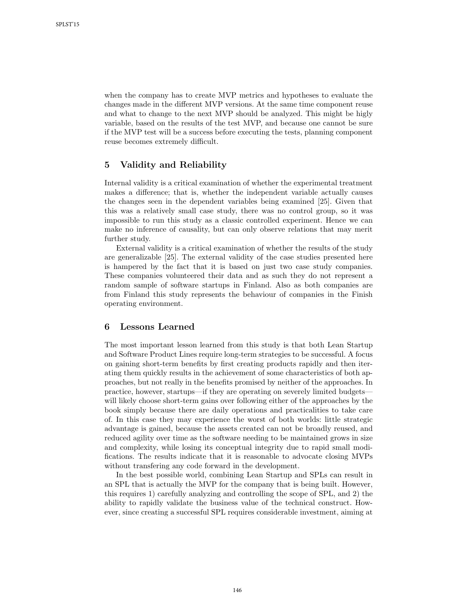when the company has to create MVP metrics and hypotheses to evaluate the changes made in the different MVP versions. At the same time component reuse and what to change to the next MVP should be analyzed. This might be higly variable, based on the results of the test MVP, and because one cannot be sure if the MVP test will be a success before executing the tests, planning component reuse becomes extremely difficult.

# 5 Validity and Reliability

Internal validity is a critical examination of whether the experimental treatment makes a difference; that is, whether the independent variable actually causes the changes seen in the dependent variables being examined [25]. Given that this was a relatively small case study, there was no control group, so it was impossible to run this study as a classic controlled experiment. Hence we can make no inference of causality, but can only observe relations that may merit further study.

External validity is a critical examination of whether the results of the study are generalizable [25]. The external validity of the case studies presented here is hampered by the fact that it is based on just two case study companies. These companies volunteered their data and as such they do not represent a random sample of software startups in Finland. Also as both companies are from Finland this study represents the behaviour of companies in the Finish operating environment.

### 6 Lessons Learned

The most important lesson learned from this study is that both Lean Startup and Software Product Lines require long-term strategies to be successful. A focus on gaining short-term benefits by first creating products rapidly and then iterating them quickly results in the achievement of some characteristics of both approaches, but not really in the benefits promised by neither of the approaches. In practice, however, startups—if they are operating on severely limited budgets will likely choose short-term gains over following either of the approaches by the book simply because there are daily operations and practicalities to take care of. In this case they may experience the worst of both worlds: little strategic advantage is gained, because the assets created can not be broadly reused, and reduced agility over time as the software needing to be maintained grows in size and complexity, while losing its conceptual integrity due to rapid small modifications. The results indicate that it is reasonable to advocate closing MVPs without transfering any code forward in the development.

In the best possible world, combining Lean Startup and SPLs can result in an SPL that is actually the MVP for the company that is being built. However, this requires 1) carefully analyzing and controlling the scope of SPL, and 2) the ability to rapidly validate the business value of the technical construct. However, since creating a successful SPL requires considerable investment, aiming at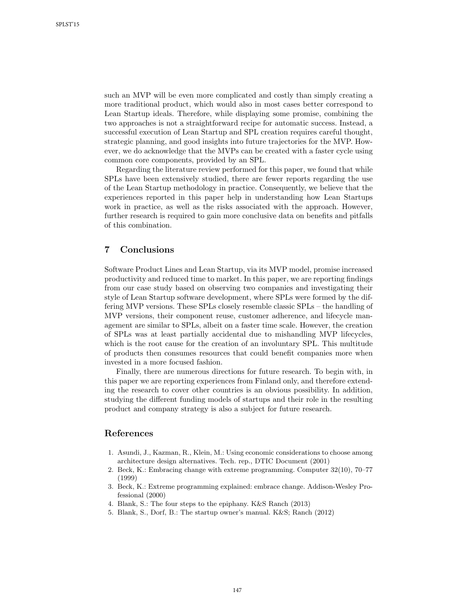such an MVP will be even more complicated and costly than simply creating a more traditional product, which would also in most cases better correspond to Lean Startup ideals. Therefore, while displaying some promise, combining the two approaches is not a straightforward recipe for automatic success. Instead, a successful execution of Lean Startup and SPL creation requires careful thought, strategic planning, and good insights into future trajectories for the MVP. However, we do acknowledge that the MVPs can be created with a faster cycle using common core components, provided by an SPL.

Regarding the literature review performed for this paper, we found that while SPLs have been extensively studied, there are fewer reports regarding the use of the Lean Startup methodology in practice. Consequently, we believe that the experiences reported in this paper help in understanding how Lean Startups work in practice, as well as the risks associated with the approach. However, further research is required to gain more conclusive data on benefits and pitfalls of this combination.

# 7 Conclusions

Software Product Lines and Lean Startup, via its MVP model, promise increased productivity and reduced time to market. In this paper, we are reporting findings from our case study based on observing two companies and investigating their style of Lean Startup software development, where SPLs were formed by the differing MVP versions. These SPLs closely resemble classic SPLs – the handling of MVP versions, their component reuse, customer adherence, and lifecycle management are similar to SPLs, albeit on a faster time scale. However, the creation of SPLs was at least partially accidental due to mishandling MVP lifecycles, which is the root cause for the creation of an involuntary SPL. This multitude of products then consumes resources that could benefit companies more when invested in a more focused fashion.

Finally, there are numerous directions for future research. To begin with, in this paper we are reporting experiences from Finland only, and therefore extending the research to cover other countries is an obvious possibility. In addition, studying the different funding models of startups and their role in the resulting product and company strategy is also a subject for future research.

# References

- 1. Asundi, J., Kazman, R., Klein, M.: Using economic considerations to choose among architecture design alternatives. Tech. rep., DTIC Document (2001)
- 2. Beck, K.: Embracing change with extreme programming. Computer 32(10), 70–77 (1999)
- 3. Beck, K.: Extreme programming explained: embrace change. Addison-Wesley Professional (2000)
- 4. Blank, S.: The four steps to the epiphany. K&S Ranch (2013)
- 5. Blank, S., Dorf, B.: The startup owner's manual. K&S; Ranch (2012)